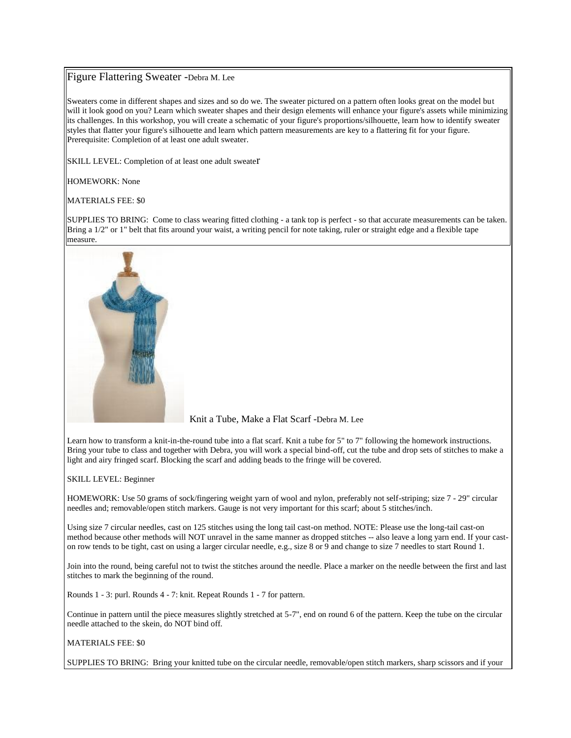## Figure Flattering Sweater -Debra M. Lee

Sweaters come in different shapes and sizes and so do we. The sweater pictured on a pattern often looks great on the model but will it look good on you? Learn which sweater shapes and their design elements will enhance your figure's assets while minimizing its challenges. In this workshop, you will create a schematic of your figure's proportions/silhouette, learn how to identify sweater styles that flatter your figure's silhouette and learn which pattern measurements are key to a flattering fit for your figure. Prerequisite: Completion of at least one adult sweater.

SKILL LEVEL: Completion of at least one adult sweater

HOMEWORK: None

MATERIALS FEE: \$0

SUPPLIES TO BRING: Come to class wearing fitted clothing - a tank top is perfect - so that accurate measurements can be taken. Bring a 1/2" or 1" belt that fits around your waist, a writing pencil for note taking, ruler or straight edge and a flexible tape measure.



Knit a Tube, Make a Flat Scarf -Debra M. Lee

Learn how to transform a knit-in-the-round tube into a flat scarf. Knit a tube for 5" to 7" following the homework instructions. Bring your tube to class and together with Debra, you will work a special bind-off, cut the tube and drop sets of stitches to make a light and airy fringed scarf. Blocking the scarf and adding beads to the fringe will be covered.

SKILL LEVEL: Beginner

HOMEWORK: Use 50 grams of sock/fingering weight yarn of wool and nylon, preferably not self-striping; size 7 - 29" circular needles and; removable/open stitch markers. Gauge is not very important for this scarf; about 5 stitches/inch.

Using size 7 circular needles, cast on 125 stitches using the long tail cast-on method. NOTE: Please use the long-tail cast-on method because other methods will NOT unravel in the same manner as dropped stitches -- also leave a long yarn end. If your caston row tends to be tight, cast on using a larger circular needle, e.g., size 8 or 9 and change to size 7 needles to start Round 1.

Join into the round, being careful not to twist the stitches around the needle. Place a marker on the needle between the first and last stitches to mark the beginning of the round.

Rounds 1 - 3: purl. Rounds 4 - 7: knit. Repeat Rounds 1 - 7 for pattern.

Continue in pattern until the piece measures slightly stretched at 5-7", end on round 6 of the pattern. Keep the tube on the circular needle attached to the skein, do NOT bind off.

MATERIALS FEE: \$0

SUPPLIES TO BRING: Bring your knitted tube on the circular needle, removable/open stitch markers, sharp scissors and if your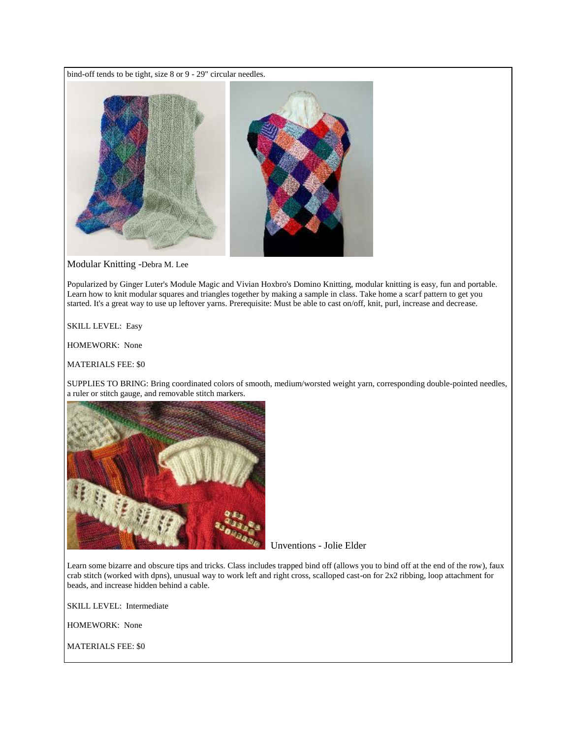bind-off tends to be tight, size 8 or 9 - 29" circular needles.



Modular Knitting -Debra M. Lee

Popularized by Ginger Luter's Module Magic and Vivian Hoxbro's Domino Knitting, modular knitting is easy, fun and portable. Learn how to knit modular squares and triangles together by making a sample in class. Take home a scarf pattern to get you started. It's a great way to use up leftover yarns. Prerequisite: Must be able to cast on/off, knit, purl, increase and decrease.

SKILL LEVEL: Easy

HOMEWORK: None

MATERIALS FEE: \$0

SUPPLIES TO BRING: Bring coordinated colors of smooth, medium/worsted weight yarn, corresponding double-pointed needles, a ruler or stitch gauge, and removable stitch markers.



Unventions - Jolie Elder

Learn some bizarre and obscure tips and tricks. Class includes trapped bind off (allows you to bind off at the end of the row), faux crab stitch (worked with dpns), unusual way to work left and right cross, scalloped cast-on for 2x2 ribbing, loop attachment for beads, and increase hidden behind a cable.

SKILL LEVEL: Intermediate

HOMEWORK: None

MATERIALS FEE: \$0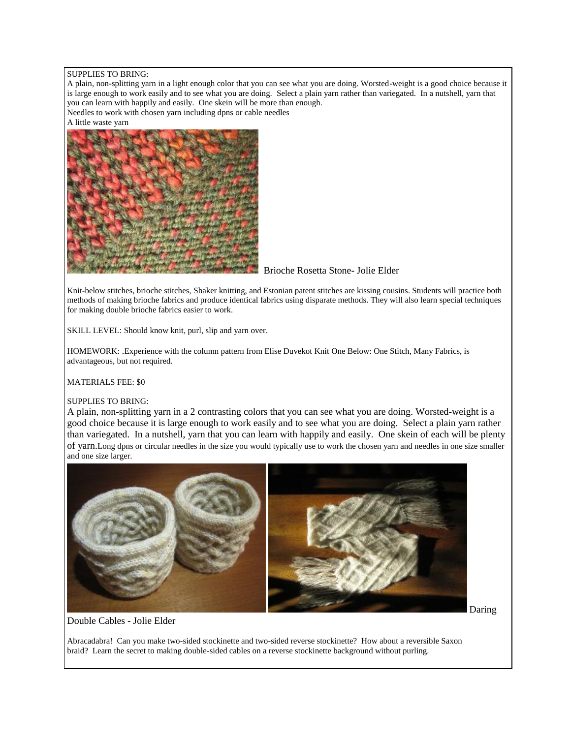#### SUPPLIES TO BRING:

A plain, non-splitting yarn in a light enough color that you can see what you are doing. Worsted-weight is a good choice because it is large enough to work easily and to see what you are doing. Select a plain yarn rather than variegated. In a nutshell, yarn that you can learn with happily and easily. One skein will be more than enough.

Needles to work with chosen yarn including dpns or cable needles

A little waste yarn



## Brioche Rosetta Stone- Jolie Elder

Knit-below stitches, brioche stitches, Shaker knitting, and Estonian patent stitches are kissing cousins. Students will practice both methods of making brioche fabrics and produce identical fabrics using disparate methods. They will also learn special techniques for making double brioche fabrics easier to work.

SKILL LEVEL: Should know knit, purl, slip and yarn over.

HOMEWORK: .Experience with the column pattern from Elise Duvekot Knit One Below: One Stitch, Many Fabrics, is advantageous, but not required.

MATERIALS FEE: \$0

### SUPPLIES TO BRING:

A plain, non-splitting yarn in a 2 contrasting colors that you can see what you are doing. Worsted-weight is a good choice because it is large enough to work easily and to see what you are doing. Select a plain yarn rather than variegated. In a nutshell, yarn that you can learn with happily and easily. One skein of each will be plenty of yarn.Long dpns or circular needles in the size you would typically use to work the chosen yarn and needles in one size smaller and one size larger.



Daring

Double Cables - Jolie Elder

Abracadabra! Can you make two-sided stockinette and two-sided reverse stockinette? How about a reversible Saxon braid? Learn the secret to making double-sided cables on a reverse stockinette background without purling.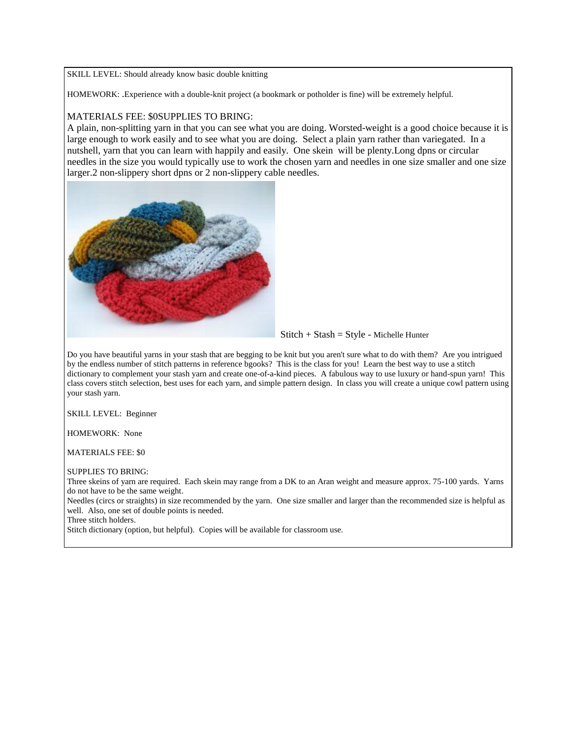SKILL LEVEL: Should already know basic double knitting

HOMEWORK: .Experience with a double-knit project (a bookmark or potholder is fine) will be extremely helpful.

## MATERIALS FEE: \$0SUPPLIES TO BRING:

A plain, non-splitting yarn in that you can see what you are doing. Worsted-weight is a good choice because it is large enough to work easily and to see what you are doing. Select a plain yarn rather than variegated. In a nutshell, yarn that you can learn with happily and easily. One skein will be plenty.Long dpns or circular needles in the size you would typically use to work the chosen yarn and needles in one size smaller and one size larger.2 non-slippery short dpns or 2 non-slippery cable needles.



 $Stitch + Stash = Style - Michelle Hunter$ 

Do you have beautiful yarns in your stash that are begging to be knit but you aren't sure what to do with them? Are you intrigued by the endless number of stitch patterns in reference bgooks? This is the class for you! Learn the best way to use a stitch dictionary to complement your stash yarn and create one-of-a-kind pieces. A fabulous way to use luxury or hand-spun yarn! This class covers stitch selection, best uses for each yarn, and simple pattern design. In class you will create a unique cowl pattern using your stash yarn.

SKILL LEVEL: Beginner

HOMEWORK: None

MATERIALS FEE: \$0

SUPPLIES TO BRING:

Three skeins of yarn are required. Each skein may range from a DK to an Aran weight and measure approx. 75-100 yards. Yarns do not have to be the same weight.

Needles (circs or straights) in size recommended by the yarn. One size smaller and larger than the recommended size is helpful as well. Also, one set of double points is needed.

Three stitch holders.

Stitch dictionary (option, but helpful). Copies will be available for classroom use.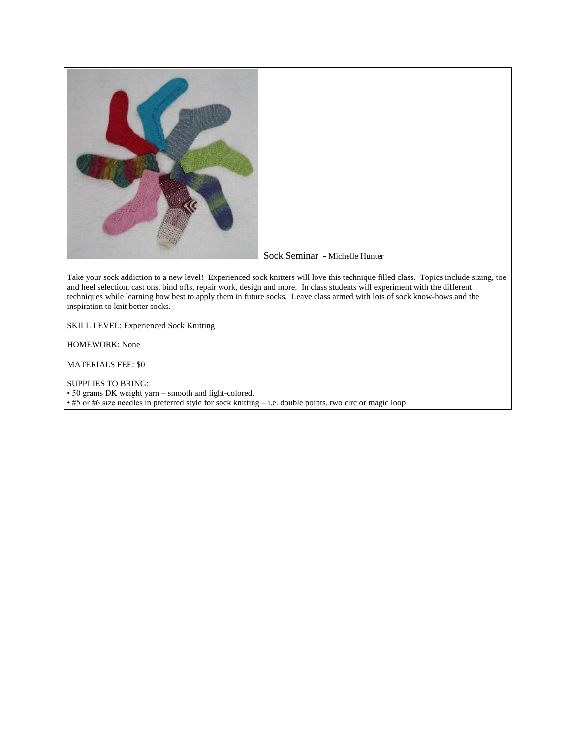

# Sock Seminar - Michelle Hunter

Take your sock addiction to a new level! Experienced sock knitters will love this technique filled class. Topics include sizing, toe and heel selection, cast ons, bind offs, repair work, design and more. In class students will experiment with the different techniques while learning how best to apply them in future socks. Leave class armed with lots of sock know-hows and the inspiration to knit better socks.

SKILL LEVEL: Experienced Sock Knitting

HOMEWORK: None

MATERIALS FEE: \$0

SUPPLIES TO BRING:

• 50 grams DK weight yarn – smooth and light-colored.

• #5 or #6 size needles in preferred style for sock knitting – i.e. double points, two circ or magic loop